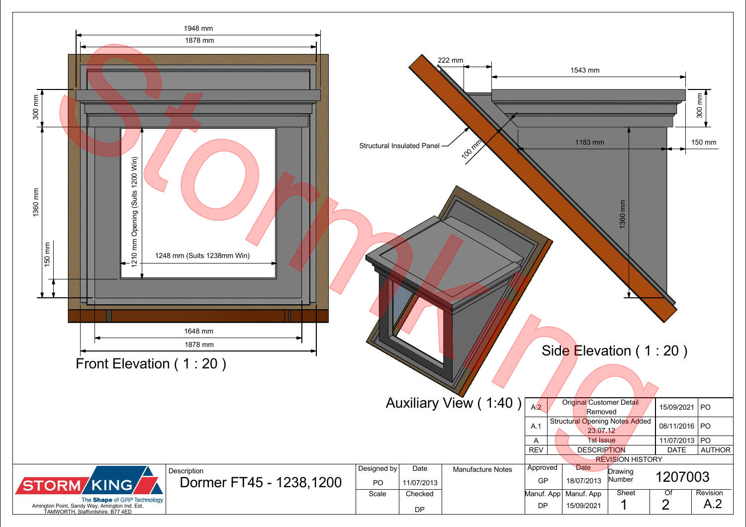